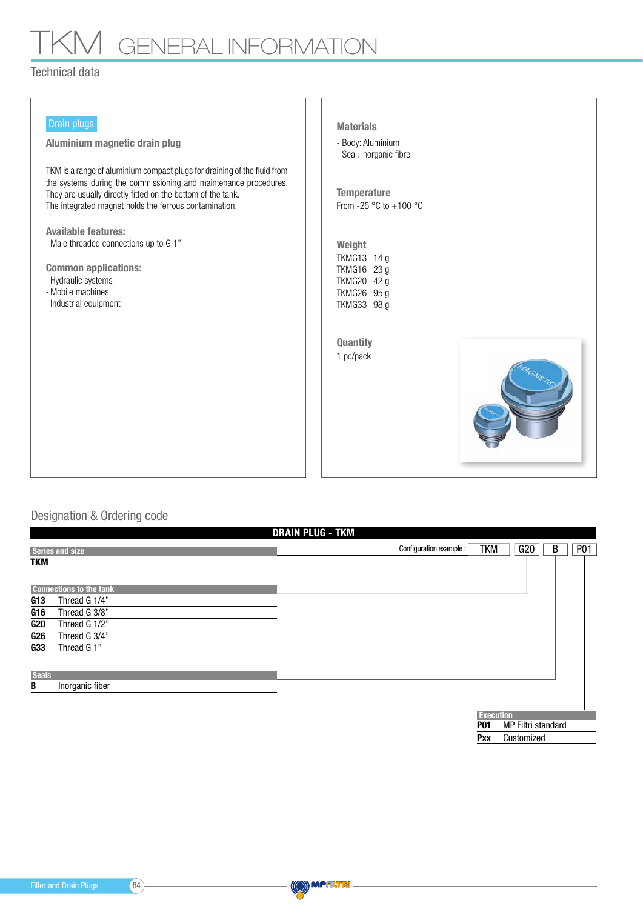## TKM GENERAL INFORMATION

## Technical data

| Drain plugs<br>Aluminium magnetic drain plug<br>TKM is a range of aluminium compact plugs for draining of the fluid from<br>the systems during the commissioning and maintenance procedures.<br>They are usually directly fitted on the bottom of the tank.<br>The integrated magnet holds the ferrous contamination. | <b>Materials</b><br>- Body: Aluminium<br>- Seal: Inorganic fibre<br><b>Temperature</b><br>From -25 $\degree$ C to +100 $\degree$ C |
|-----------------------------------------------------------------------------------------------------------------------------------------------------------------------------------------------------------------------------------------------------------------------------------------------------------------------|------------------------------------------------------------------------------------------------------------------------------------|
| <b>Available features:</b><br>- Male threaded connections up to G 1"<br><b>Common applications:</b><br>- Hydraulic systems<br>- Mobile machines<br>- Industrial equipment                                                                                                                                             | Weight<br>TKMG13 14 g<br>TKMG16 23 g<br>TKMG20 42 g<br>TKMG26 95 g<br>TKMG33 98 g<br>Quantity<br>1 pc/pack                         |

## Designation & Ordering code

|              |                                | <b>DRAIN PLUG - TKM</b> |                          |     |   |                 |  |
|--------------|--------------------------------|-------------------------|--------------------------|-----|---|-----------------|--|
|              | <b>Series and size</b>         | Configuration example : | <b>TKM</b>               | G20 | B | P <sub>01</sub> |  |
| <b>TKM</b>   |                                |                         |                          |     |   |                 |  |
|              | <b>Connections to the tank</b> |                         |                          |     |   |                 |  |
| G13          | Thread G 1/4"                  |                         |                          |     |   |                 |  |
| G16          | Thread G 3/8"                  |                         |                          |     |   |                 |  |
| G20          | Thread G 1/2"                  |                         |                          |     |   |                 |  |
| G26          | Thread G 3/4"                  |                         |                          |     |   |                 |  |
| G33          | Thread G 1"                    |                         |                          |     |   |                 |  |
| <b>Seals</b> |                                |                         |                          |     |   |                 |  |
| В            | Inorganic fiber                |                         |                          |     |   |                 |  |
|              |                                |                         |                          |     |   |                 |  |
|              |                                |                         | <b>Execution</b>         |     |   |                 |  |
|              |                                | <b>P01</b>              | MP Filtri standard       |     |   |                 |  |
|              |                                |                         | Customized<br><b>Pxx</b> |     |   |                 |  |